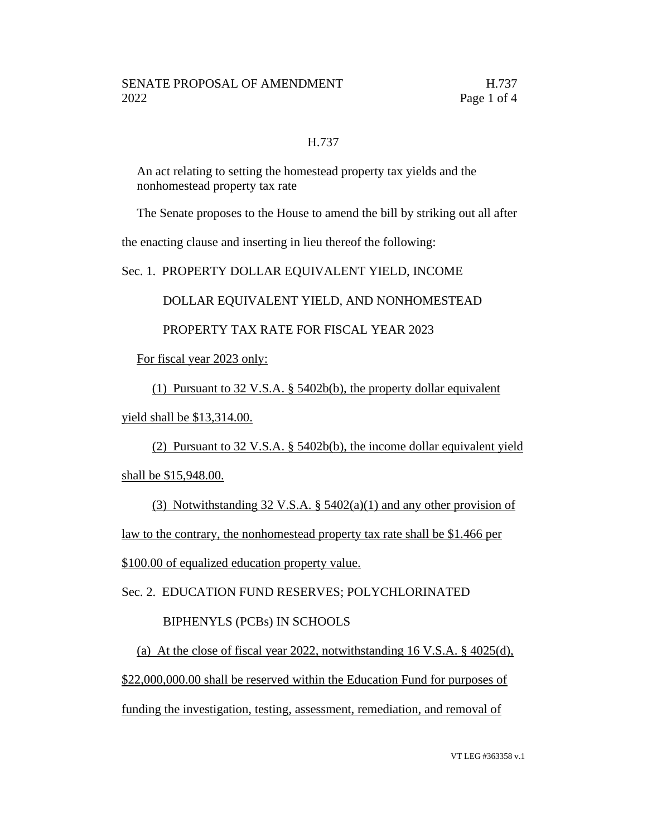#### H.737

An act relating to setting the homestead property tax yields and the nonhomestead property tax rate

The Senate proposes to the House to amend the bill by striking out all after

the enacting clause and inserting in lieu thereof the following:

Sec. 1. PROPERTY DOLLAR EQUIVALENT YIELD, INCOME

DOLLAR EQUIVALENT YIELD, AND NONHOMESTEAD

## PROPERTY TAX RATE FOR FISCAL YEAR 2023

For fiscal year 2023 only:

(1) Pursuant to 32 V.S.A. § 5402b(b), the property dollar equivalent

yield shall be \$13,314.00.

(2) Pursuant to 32 V.S.A. § 5402b(b), the income dollar equivalent yield shall be \$15,948.00.

(3) Notwithstanding 32 V.S.A.  $\S$  5402(a)(1) and any other provision of law to the contrary, the nonhomestead property tax rate shall be \$1.466 per \$100.00 of equalized education property value.

Sec. 2. EDUCATION FUND RESERVES; POLYCHLORINATED

## BIPHENYLS (PCBs) IN SCHOOLS

(a) At the close of fiscal year 2022, notwithstanding 16 V.S.A. § 4025(d), \$22,000,000.00 shall be reserved within the Education Fund for purposes of funding the investigation, testing, assessment, remediation, and removal of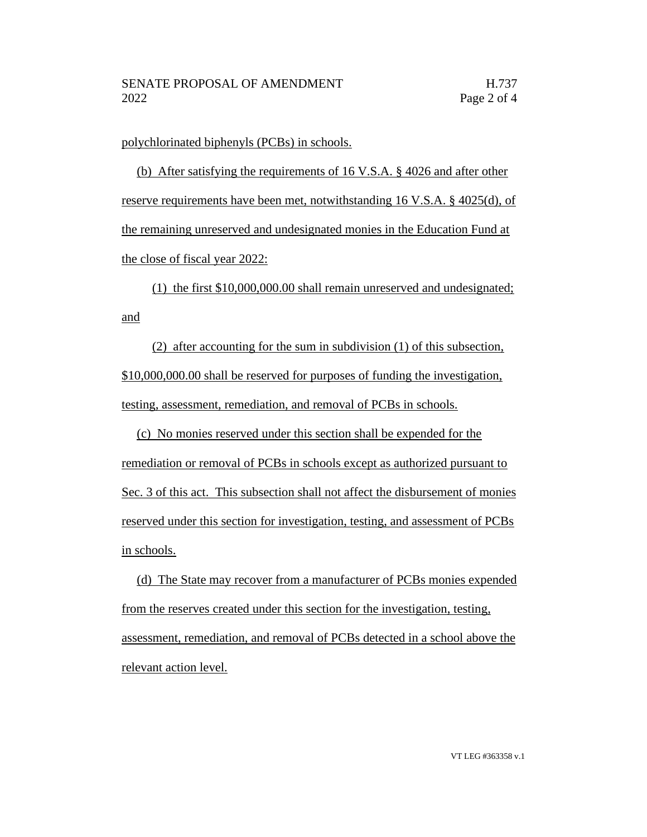polychlorinated biphenyls (PCBs) in schools.

(b) After satisfying the requirements of 16 V.S.A. § 4026 and after other reserve requirements have been met, notwithstanding 16 V.S.A. § 4025(d), of the remaining unreserved and undesignated monies in the Education Fund at the close of fiscal year 2022:

(1) the first \$10,000,000.00 shall remain unreserved and undesignated; and

(2) after accounting for the sum in subdivision (1) of this subsection, \$10,000,000.00 shall be reserved for purposes of funding the investigation, testing, assessment, remediation, and removal of PCBs in schools.

(c) No monies reserved under this section shall be expended for the remediation or removal of PCBs in schools except as authorized pursuant to Sec. 3 of this act. This subsection shall not affect the disbursement of monies reserved under this section for investigation, testing, and assessment of PCBs in schools.

(d) The State may recover from a manufacturer of PCBs monies expended from the reserves created under this section for the investigation, testing, assessment, remediation, and removal of PCBs detected in a school above the relevant action level.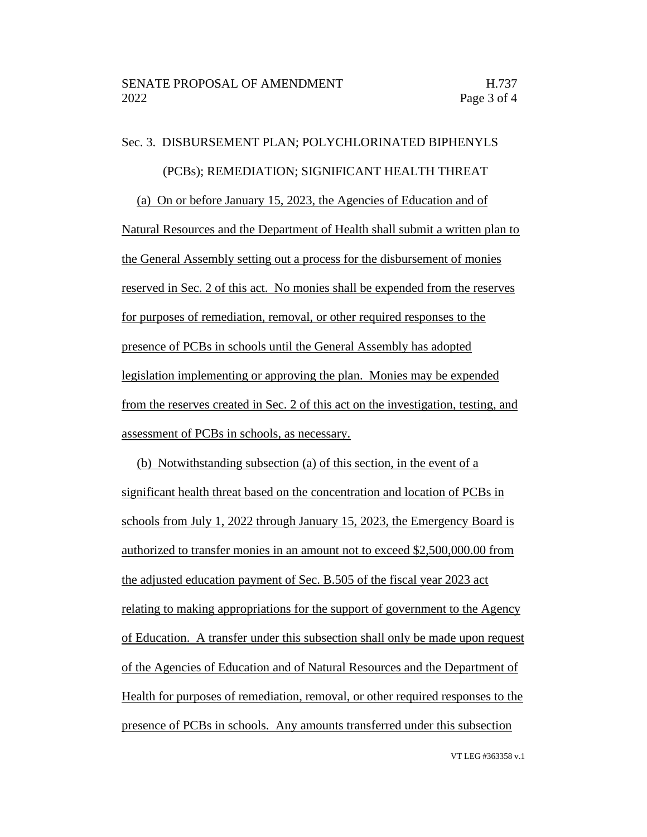# Sec. 3. DISBURSEMENT PLAN; POLYCHLORINATED BIPHENYLS (PCBs); REMEDIATION; SIGNIFICANT HEALTH THREAT (a) On or before January 15, 2023, the Agencies of Education and of Natural Resources and the Department of Health shall submit a written plan to the General Assembly setting out a process for the disbursement of monies reserved in Sec. 2 of this act. No monies shall be expended from the reserves for purposes of remediation, removal, or other required responses to the presence of PCBs in schools until the General Assembly has adopted legislation implementing or approving the plan. Monies may be expended from the reserves created in Sec. 2 of this act on the investigation, testing, and assessment of PCBs in schools, as necessary.

(b) Notwithstanding subsection (a) of this section, in the event of a significant health threat based on the concentration and location of PCBs in schools from July 1, 2022 through January 15, 2023, the Emergency Board is authorized to transfer monies in an amount not to exceed \$2,500,000.00 from the adjusted education payment of Sec. B.505 of the fiscal year 2023 act relating to making appropriations for the support of government to the Agency of Education. A transfer under this subsection shall only be made upon request of the Agencies of Education and of Natural Resources and the Department of Health for purposes of remediation, removal, or other required responses to the presence of PCBs in schools. Any amounts transferred under this subsection